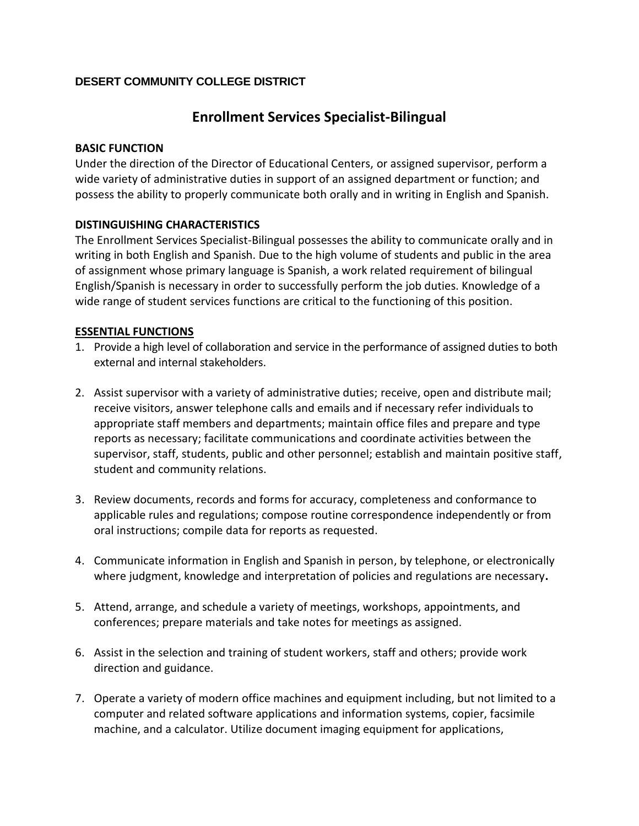# **DESERT COMMUNITY COLLEGE DISTRICT**

# **Enrollment Services Specialist-Bilingual**

## **BASIC FUNCTION**

Under the direction of the Director of Educational Centers, or assigned supervisor, perform a wide variety of administrative duties in support of an assigned department or function; and possess the ability to properly communicate both orally and in writing in English and Spanish.

## **DISTINGUISHING CHARACTERISTICS**

The Enrollment Services Specialist-Bilingual possesses the ability to communicate orally and in writing in both English and Spanish. Due to the high volume of students and public in the area of assignment whose primary language is Spanish, a work related requirement of bilingual English/Spanish is necessary in order to successfully perform the job duties. Knowledge of a wide range of student services functions are critical to the functioning of this position.

## **ESSENTIAL FUNCTIONS**

- 1. Provide a high level of collaboration and service in the performance of assigned duties to both external and internal stakeholders.
- 2. Assist supervisor with a variety of administrative duties; receive, open and distribute mail; receive visitors, answer telephone calls and emails and if necessary refer individuals to appropriate staff members and departments; maintain office files and prepare and type reports as necessary; facilitate communications and coordinate activities between the supervisor, staff, students, public and other personnel; establish and maintain positive staff, student and community relations.
- 3. Review documents, records and forms for accuracy, completeness and conformance to applicable rules and regulations; compose routine correspondence independently or from oral instructions; compile data for reports as requested.
- 4. Communicate information in English and Spanish in person, by telephone, or electronically where judgment, knowledge and interpretation of policies and regulations are necessary**.**
- 5. Attend, arrange, and schedule a variety of meetings, workshops, appointments, and conferences; prepare materials and take notes for meetings as assigned.
- 6. Assist in the selection and training of student workers, staff and others; provide work direction and guidance.
- 7. Operate a variety of modern office machines and equipment including, but not limited to a computer and related software applications and information systems, copier, facsimile machine, and a calculator. Utilize document imaging equipment for applications,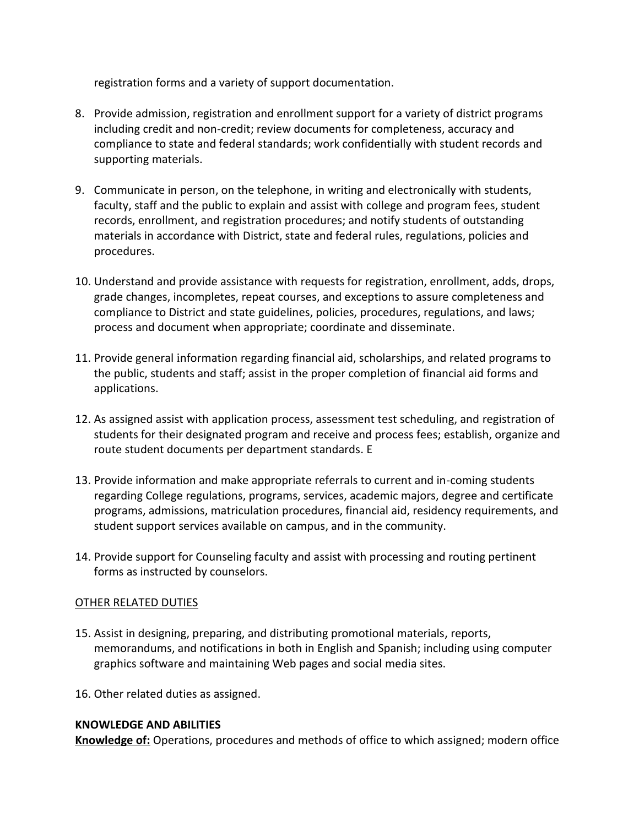registration forms and a variety of support documentation.

- 8. Provide admission, registration and enrollment support for a variety of district programs including credit and non-credit; review documents for completeness, accuracy and compliance to state and federal standards; work confidentially with student records and supporting materials.
- 9. Communicate in person, on the telephone, in writing and electronically with students, faculty, staff and the public to explain and assist with college and program fees, student records, enrollment, and registration procedures; and notify students of outstanding materials in accordance with District, state and federal rules, regulations, policies and procedures.
- 10. Understand and provide assistance with requests for registration, enrollment, adds, drops, grade changes, incompletes, repeat courses, and exceptions to assure completeness and compliance to District and state guidelines, policies, procedures, regulations, and laws; process and document when appropriate; coordinate and disseminate.
- 11. Provide general information regarding financial aid, scholarships, and related programs to the public, students and staff; assist in the proper completion of financial aid forms and applications.
- 12. As assigned assist with application process, assessment test scheduling, and registration of students for their designated program and receive and process fees; establish, organize and route student documents per department standards. E
- 13. Provide information and make appropriate referrals to current and in-coming students regarding College regulations, programs, services, academic majors, degree and certificate programs, admissions, matriculation procedures, financial aid, residency requirements, and student support services available on campus, and in the community.
- 14. Provide support for Counseling faculty and assist with processing and routing pertinent forms as instructed by counselors.

#### OTHER RELATED DUTIES

- 15. Assist in designing, preparing, and distributing promotional materials, reports, memorandums, and notifications in both in English and Spanish; including using computer graphics software and maintaining Web pages and social media sites.
- 16. Other related duties as assigned.

## **KNOWLEDGE AND ABILITIES**

**Knowledge of:** Operations, procedures and methods of office to which assigned; modern office